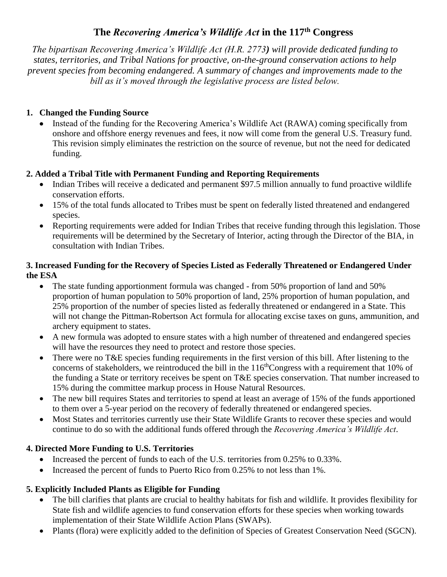# **The** *Recovering America's Wildlife Act* **in the 117th Congress**

*The bipartisan Recovering America's Wildlife Act (H.R. 2773) will provide dedicated funding to states, territories, and Tribal Nations for proactive, on-the-ground conservation actions to help prevent species from becoming endangered. A summary of changes and improvements made to the bill as it's moved through the legislative process are listed below.*

## **1. Changed the Funding Source**

Instead of the funding for the Recovering America's Wildlife Act (RAWA) coming specifically from onshore and offshore energy revenues and fees, it now will come from the general U.S. Treasury fund. This revision simply eliminates the restriction on the source of revenue, but not the need for dedicated funding.

### **2. Added a Tribal Title with Permanent Funding and Reporting Requirements**

- Indian Tribes will receive a dedicated and permanent \$97.5 million annually to fund proactive wildlife conservation efforts.
- 15% of the total funds allocated to Tribes must be spent on federally listed threatened and endangered species.
- Reporting requirements were added for Indian Tribes that receive funding through this legislation. Those requirements will be determined by the Secretary of Interior, acting through the Director of the BIA, in consultation with Indian Tribes.

#### **3. Increased Funding for the Recovery of Species Listed as Federally Threatened or Endangered Under the ESA**

- The state funding apportionment formula was changed from 50% proportion of land and 50% proportion of human population to 50% proportion of land, 25% proportion of human population, and 25% proportion of the number of species listed as federally threatened or endangered in a State. This will not change the Pittman-Robertson Act formula for allocating excise taxes on guns, ammunition, and archery equipment to states.
- A new formula was adopted to ensure states with a high number of threatened and endangered species will have the resources they need to protect and restore those species.
- There were no T&E species funding requirements in the first version of this bill. After listening to the concerns of stakeholders, we reintroduced the bill in the 116<sup>th</sup>Congress with a requirement that 10% of the funding a State or territory receives be spent on T&E species conservation. That number increased to 15% during the committee markup process in House Natural Resources.
- The new bill requires States and territories to spend at least an average of 15% of the funds apportioned to them over a 5-year period on the recovery of federally threatened or endangered species.
- Most States and territories currently use their State Wildlife Grants to recover these species and would continue to do so with the additional funds offered through the *Recovering America's Wildlife Act*.

## **4. Directed More Funding to U.S. Territories**

- Increased the percent of funds to each of the U.S. territories from 0.25% to 0.33%.
- Increased the percent of funds to Puerto Rico from 0.25% to not less than 1%.

## **5. Explicitly Included Plants as Eligible for Funding**

- The bill clarifies that plants are crucial to healthy habitats for fish and wildlife. It provides flexibility for State fish and wildlife agencies to fund conservation efforts for these species when working towards implementation of their State Wildlife Action Plans (SWAPs).
- Plants (flora) were explicitly added to the definition of Species of Greatest Conservation Need (SGCN).